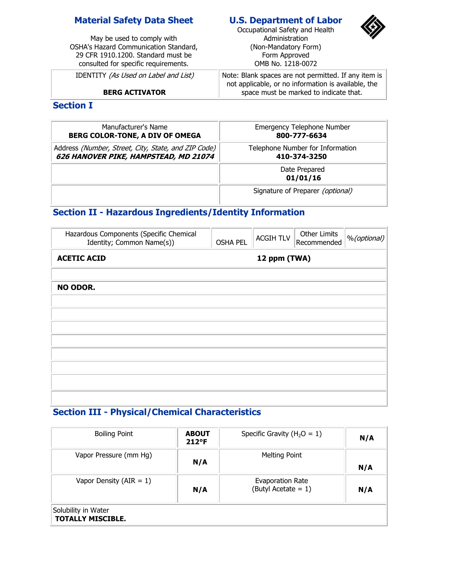### **Material Safety Data Sheet**

May be used to comply with OSHA's Hazard Communication Standard, 29 CFR 1910.1200. Standard must be consulted for specific requirements.

IDENTITY (As Used on Label and List)

**BERG ACTIVATOR**

### **U.S. Department of Labor**

Occupational Safety and Health Administration (Non-Mandatory Form) Form Approved OMB No. 1218-0072



Note: Blank spaces are not permitted. If any item is not applicable, or no information is available, the space must be marked to indicate that.

#### **Section I**

| Manufacturer's Name                                 | <b>Emergency Telephone Number</b>       |
|-----------------------------------------------------|-----------------------------------------|
| BERG COLOR-TONE, A DIV OF OMEGA                     | 800-777-6634                            |
| Address (Number, Street, City, State, and ZIP Code) | Telephone Number for Information        |
| 626 HANOVER PIKE, HAMPSTEAD, MD 21074               | 410-374-3250                            |
|                                                     | Date Prepared<br>01/01/16               |
|                                                     | Signature of Preparer <i>(optional)</i> |

## **Section II - Hazardous Ingredients/Identity Information**

| Hazardous Components (Specific Chemical<br>Identity; Common Name(s)) | <b>OSHA PEL</b> | <b>ACGIH TLV</b> | Other Limits<br>Recommended | %(optional) |
|----------------------------------------------------------------------|-----------------|------------------|-----------------------------|-------------|
| <b>ACETIC ACID</b><br>12 ppm (TWA)                                   |                 |                  |                             |             |
|                                                                      |                 |                  |                             |             |
| NO ODOR.                                                             |                 |                  |                             |             |
|                                                                      |                 |                  |                             |             |
|                                                                      |                 |                  |                             |             |
|                                                                      |                 |                  |                             |             |
|                                                                      |                 |                  |                             |             |
|                                                                      |                 |                  |                             |             |
|                                                                      |                 |                  |                             |             |
|                                                                      |                 |                  |                             |             |
|                                                                      |                 |                  |                             |             |
|                                                                      |                 |                  |                             |             |

## **Section III - Physical/Chemical Characteristics**

| <b>Boiling Point</b>                            | <b>ABOUT</b><br>$212^{\circ}F$ | Specific Gravity ( $H_2O = 1$ )            | N/A |
|-------------------------------------------------|--------------------------------|--------------------------------------------|-----|
| Vapor Pressure (mm Hg)                          | N/A                            | <b>Melting Point</b>                       | N/A |
| Vapor Density ( $AIR = 1$ )                     | N/A                            | Evaporation Rate<br>(Butyl Acetate = $1$ ) | N/A |
| Solubility in Water<br><b>TOTALLY MISCIBLE.</b> |                                |                                            |     |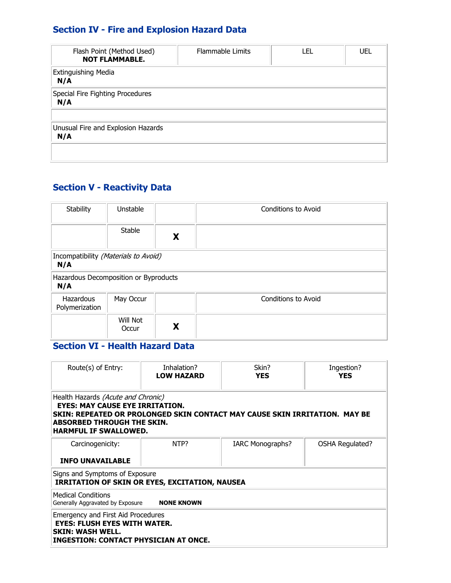# **Section IV - Fire and Explosion Hazard Data**

| Flash Point (Method Used)<br><b>NOT FLAMMABLE.</b> | <b>Flammable Limits</b> | LEL | UEL |
|----------------------------------------------------|-------------------------|-----|-----|
| <b>Extinguishing Media</b><br>N/A                  |                         |     |     |
| Special Fire Fighting Procedures<br>N/A            |                         |     |     |
| Unusual Fire and Explosion Hazards<br>N/A          |                         |     |     |
|                                                    |                         |     |     |

# **Section V - Reactivity Data**

| <b>Stability</b>                             | Unstable          |   | Conditions to Avoid        |
|----------------------------------------------|-------------------|---|----------------------------|
|                                              | <b>Stable</b>     | X |                            |
| Incompatibility (Materials to Avoid)<br>N/A  |                   |   |                            |
| Hazardous Decomposition or Byproducts<br>N/A |                   |   |                            |
| Hazardous<br>Polymerization                  | May Occur         |   | <b>Conditions to Avoid</b> |
|                                              | Will Not<br>Occur | X |                            |

# **Section VI - Health Hazard Data**

| Route(s) of Entry:<br>Inhalation?<br><b>LOW HAZARD</b>                                                                                                                                                                          |  | Skin?<br><b>YES</b>     | Ingestion?<br><b>YES</b> |  |  |
|---------------------------------------------------------------------------------------------------------------------------------------------------------------------------------------------------------------------------------|--|-------------------------|--------------------------|--|--|
| Health Hazards (Acute and Chronic)<br><b>EYES: MAY CAUSE EYE IRRITATION.</b><br>SKIN: REPEATED OR PROLONGED SKIN CONTACT MAY CAUSE SKIN IRRITATION. MAY BE<br><b>ABSORBED THROUGH THE SKIN.</b><br><b>HARMFUL IF SWALLOWED.</b> |  |                         |                          |  |  |
| NTP?<br>Carcinogenicity:<br><b>INFO UNAVAILABLE</b>                                                                                                                                                                             |  | <b>IARC Monographs?</b> | OSHA Regulated?          |  |  |
| Signs and Symptoms of Exposure<br><b>IRRITATION OF SKIN OR EYES, EXCITATION, NAUSEA</b>                                                                                                                                         |  |                         |                          |  |  |
| <b>Medical Conditions</b><br><b>NONE KNOWN</b><br>Generally Aggravated by Exposure                                                                                                                                              |  |                         |                          |  |  |
| Emergency and First Aid Procedures<br><b>EYES: FLUSH EYES WITH WATER.</b><br><b>SKIN: WASH WELL.</b><br>INGESTION: CONTACT PHYSICIAN AT ONCE.                                                                                   |  |                         |                          |  |  |